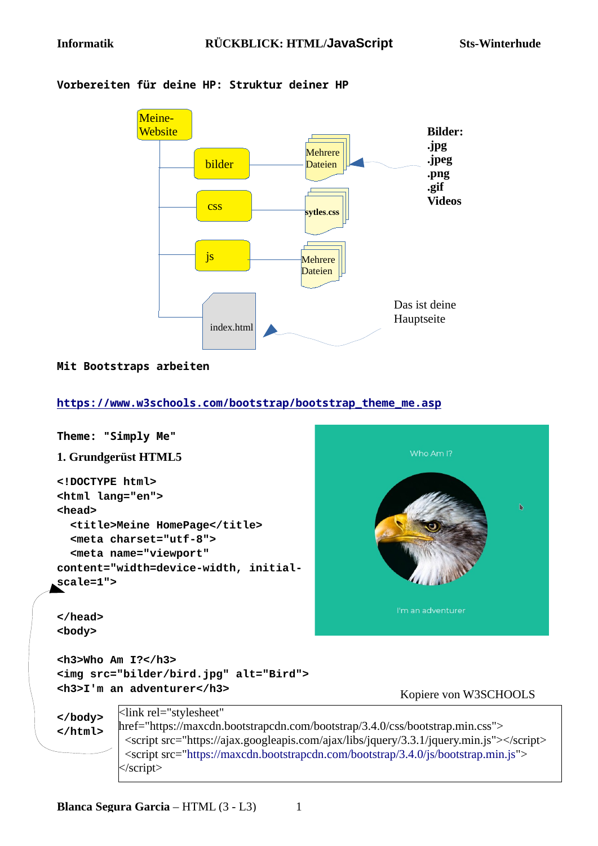

#### **Vorbereiten für deine HP: Struktur deiner HP**

#### **Mit Bootstraps arbeiten**

**[https://www.w3schools.com/bootstrap/bootstrap\\_theme\\_me.asp](https://www.w3schools.com/bootstrap/bootstrap_theme_me.asp)**

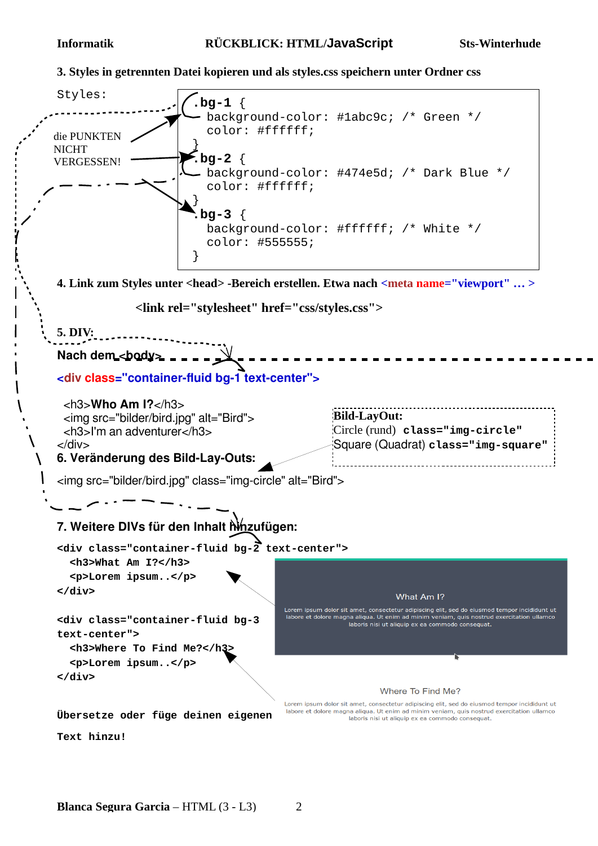**3. Styles in getrennten Datei kopieren und als styles.css speichern unter Ordner css**

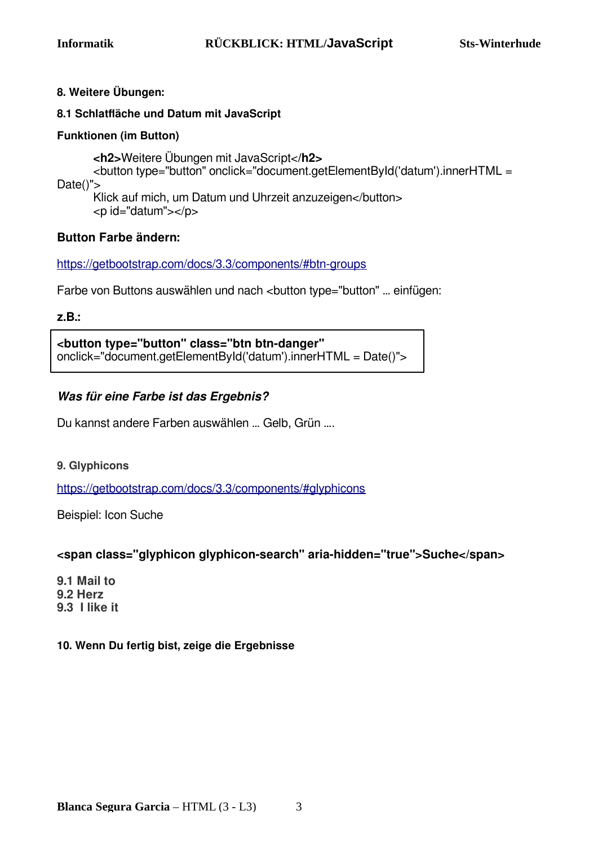#### **8. Weitere Übungen:**

#### **8.1 Schlatfläche und Datum mit JavaScript**

#### **Funktionen (im Button)**

**<h2>**Weitere Übungen mit JavaScript<**/h2>** <button type="button" onclick="document.getElementById('datum').innerHTML = Date()"> Klick auf mich, um Datum und Uhrzeit anzuzeigen</button>

<p id="datum"></p>

#### **Button Farbe ändern:**

<https://getbootstrap.com/docs/3.3/components/#btn-groups>

Farbe von Buttons auswählen und nach <br/> <br/>button type="button" ... einfügen:

**z.B.:** 

**<button type="button" class="btn btn-danger"**  onclick="document.getElementById('datum').innerHTML = Date()">

## **Was für eine Farbe ist das Ergebnis?**

Du kannst andere Farben auswählen … Gelb, Grün ….

#### **9. Glyphicons**

<https://getbootstrap.com/docs/3.3/components/#glyphicons>

Beispiel: Icon Suche

#### **<span class="glyphicon glyphicon-search" aria-hidden="true">Suche</span>**

**9.1 Mail to 9.2 Herz 9.3 I like it**

#### **10. Wenn Du fertig bist, zeige die Ergebnisse**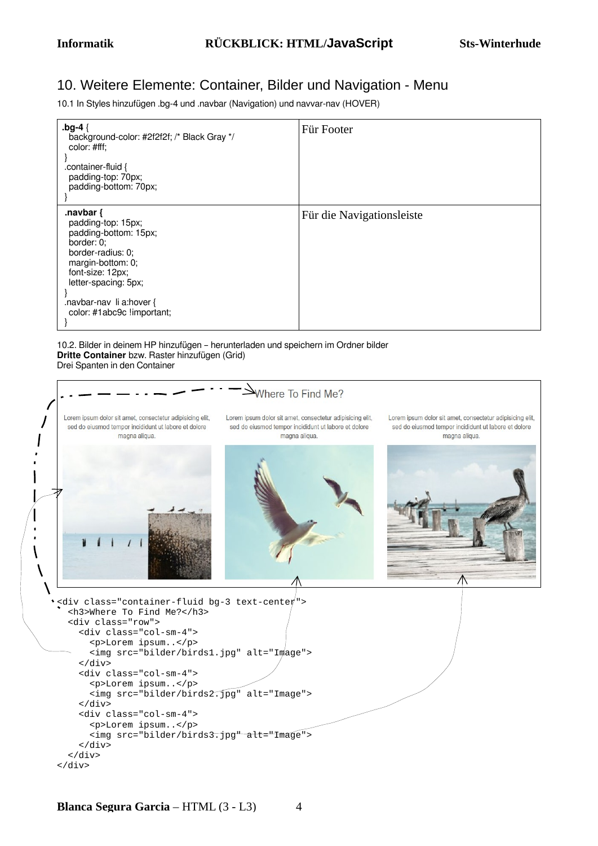## 10. Weitere Elemente: Container, Bilder und Navigation - Menu

10.1 In Styles hinzufügen .bg-4 und .navbar (Navigation) und navvar-nav (HOVER)

| .bg-4 $\{$<br>background-color: #2f2f2f; /* Black Gray */<br>color: #fff;<br>.container-fluid {<br>padding-top: 70px;<br>padding-bottom: 70px;                                                                            | Für Footer                |
|---------------------------------------------------------------------------------------------------------------------------------------------------------------------------------------------------------------------------|---------------------------|
| .navbar $\{$<br>padding-top: 15px;<br>padding-bottom: 15px;<br>border: 0;<br>border-radius: 0;<br>margin-bottom: 0;<br>font-size: 12px;<br>letter-spacing: 5px;<br>.navbar-nav li a:hover {<br>color: #1abc9c !important; | Für die Navigationsleiste |

10.2. Bilder in deinem HP hinzufügen – herunterladen und speichern im Ordner bilder **Dritte Container** bzw. Raster hinzufügen (Grid) Drei Spanten in den Container

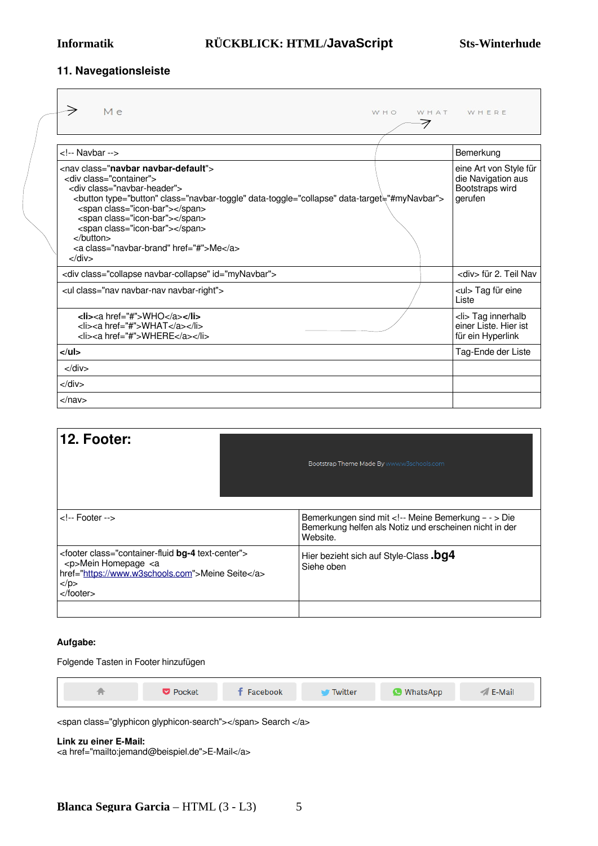#### **11. Navegationsleiste**

| Me<br>WHO                                                                                                                                                                                                                                                                                                                                                                                                                                               | WHAT WHERE                                                                 |
|---------------------------------------------------------------------------------------------------------------------------------------------------------------------------------------------------------------------------------------------------------------------------------------------------------------------------------------------------------------------------------------------------------------------------------------------------------|----------------------------------------------------------------------------|
| Navbar                                                                                                                                                                                                                                                                                                                                                                                                                                                  | Bemerkung                                                                  |
| <nay class="&lt;b&gt;naybar naybar-default&lt;/b&gt;"><br/><div class="container"><br/><div class="navbar-header"><br/><button class="navbar-toggle" data-target="#myNavbar" data-toggle="collapse" type="button"><br/><span class="icon-bar"></span><br/><span class="icon-bar"></span><br/><span class="icon-bar"></span><br/></button><br/><a class="naybar-brand" href="#">Me</a><br/><math>\langle</math>div<math>\rangle</math></div></div></nay> | eine Art von Style für<br>die Navigation aus<br>Bootstraps wird<br>gerufen |
| <div class="collapse navbar-collapse" id="myNavbar"></div>                                                                                                                                                                                                                                                                                                                                                                                              | <div> für 2. Teil Nav</div>                                                |
| <ul class="nav navbar-nav navbar-right"></ul>                                                                                                                                                                                                                                                                                                                                                                                                           | <ul> Tag für eine<br/>Liste</ul>                                           |
| <li><a href="#">WHO</a></li><br><li><a href="#">WHAT</a></li><br><li><a href="#">WHERE</a></li>                                                                                                                                                                                                                                                                                                                                                         | <li> Tag innerhalb<br/>einer Liste. Hier ist<br/>für ein Hyperlink</li>    |
| $<$ /ul>                                                                                                                                                                                                                                                                                                                                                                                                                                                | Tag-Ende der Liste                                                         |
| $\langle$ div $\rangle$                                                                                                                                                                                                                                                                                                                                                                                                                                 |                                                                            |
| $<$ /div $>$                                                                                                                                                                                                                                                                                                                                                                                                                                            |                                                                            |
| $\langle$ nav $>$                                                                                                                                                                                                                                                                                                                                                                                                                                       |                                                                            |

| 12. Footer:                                                                                                                                                                                                                | Bootstrap Theme Made By www.w3schools.com                                                                                 |
|----------------------------------------------------------------------------------------------------------------------------------------------------------------------------------------------------------------------------|---------------------------------------------------------------------------------------------------------------------------|
| $\leftarrow$ Footer -->                                                                                                                                                                                                    | Bemerkungen sind mit <!-- Meine Bemerkung - - > Die<br>Bemerkung helfen als Notiz und erscheinen nicht in der<br>Website. |
| <footer class="container-fluid bg-4 text-center"><br/><p>Mein Homepage <a<br>href="https://www.w3schools.com"&gt;Meine Seite<br/><math>&lt;</math>/p&gt;<br/><math>&lt;</math>/footer<math>&gt;</math></a<br></p></footer> | Hier bezieht sich auf Style-Class .bg4<br>Siehe oben                                                                      |
|                                                                                                                                                                                                                            |                                                                                                                           |

#### **Aufgabe:**

Folgende Tasten in Footer hinzufügen



<span class="glyphicon glyphicon-search"></span> Search </a>

**Link zu einer E-Mail:**

<a href="mailto:jemand@beispiel.de">E-Mail</a>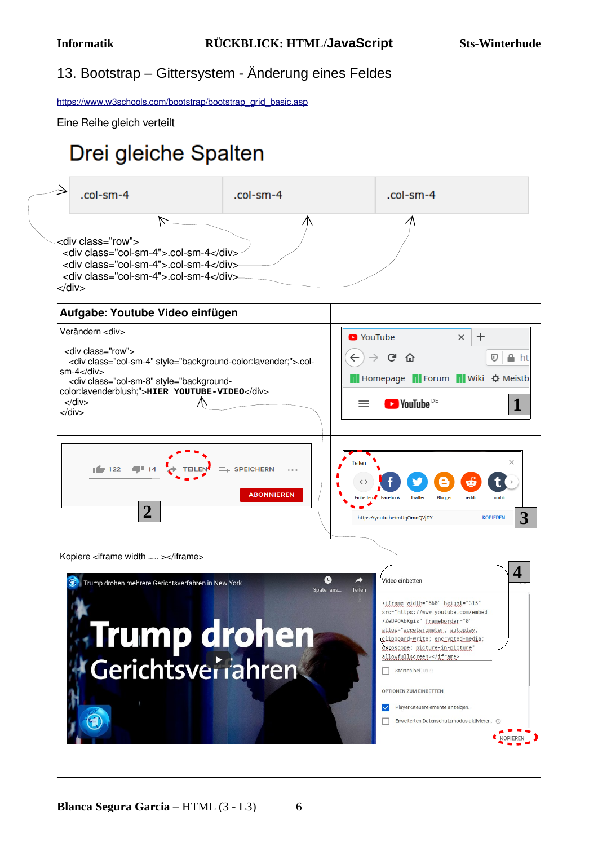## 13. Bootstrap – Gittersystem - Änderung eines Feldes

[https://www.w3schools.com/bootstrap/bootstrap\\_grid\\_basic.asp](https://www.w3schools.com/bootstrap/bootstrap_grid_basic.asp)

Eine Reihe gleich verteilt

# Drei gleiche Spalten